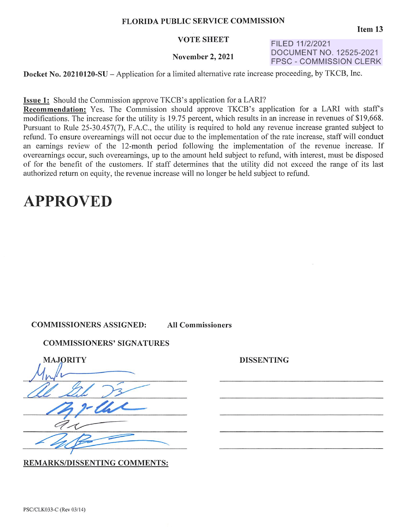#### **FLORIDA PUBLIC SERVICE COMMISSION**

#### **VOTE SHEET**

#### **November 2, 2021**

FILED 11/2/2021 DOCUMENT NO. 12525-2021 FPSC - COMMISSION CLERK

**Docket No. 20210120-SU** – Application for a limited alternative rate increase proceeding, by TKCB, Inc.

**Issue 1:** Should the Commission approve TKCB's application for a LARI?

**Recommendation:** Yes. The Commission should approve TKCB's application for a LARI with staff's modifications. The increase for the utility is 19.75 percent, which results in an increase in revenues of \$19,668. Pursuant to Rule 25-30.457(7), F.A.C., the utility is required to hold any revenue increase granted subject to refund. To ensure overearnings will not occur due to the implementation of the rate increase, staff will conduct an earnings review of the 12-month period following the implementation of the revenue increase. If overearnings occur, such overearnings, up to the amount held subject to refund, with interest, must be disposed of for the benefit of the customers. If staff determines that the utility did not exceed the range of its last authorized return on equity, the revenue increase will no longer be held subject to refund.

## **APPROVED**

#### **COMMISSIONERS ASSIGNED: All Commissioners**

### **COMMISSIONERS' SIGNATURES**

| <b>MAJORITY</b> |
|-----------------|
|                 |
|                 |
|                 |
|                 |
|                 |

REMARKS/DISSENTING COMMENTS:

DISSENTING

**Item13**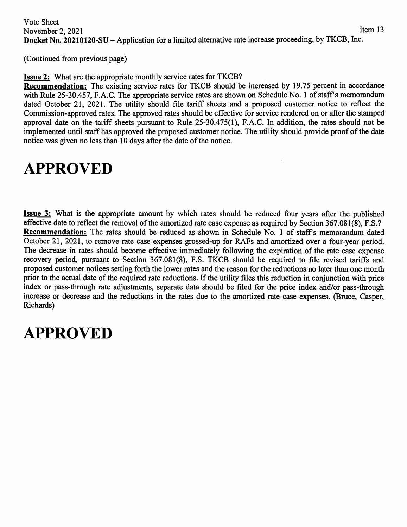(Continued from previous page)

**Issue 2:** What are the appropriate monthly service rates for TKCB?

**Recommendation:** The existing service rates for TKCB should be increased by 19.75 percent in accordance with Rule 25-30.457, F.A.C. The appropriate service rates are shown on Schedule No. 1 of staff's memorandum dated October 21, 2021. The utility should file tariff sheets and a proposed customer notice to reflect the Commission-approved rates. The approved rates should be effective for service rendered on or after the stamped approval date on the tariff sheets pursuant to Rule 25-30.475(1), F.A.C. In addition, the rates should not be implemented until staff has approved the proposed customer notice. The utility should provide proof of the date notice was given no less than 10 days after the date of the notice.

# **APPROVED**

**Issue 3:** What is the appropriate amount by which rates should be reduced four years after the published effective date to reflect the removal of the amortized rate case expense as required by Section 367.081(8), F.S.? **Recommendation:** The rates should be reduced as shown in Schedule No. 1 of staff's memorandum dated October 21, 2021, to remove rate case expenses grossed-up for RAFs and amortized over a four-year period. The decrease in rates should become effective immediately following the expiration of the rate case expense recovery period, pursuant to Section 367.081(8), F.S. TKCB should be required to file revised tariffs and proposed customer notices setting forth the lower rates and the reason for the reductions no later than one month prior to the actual date of the required rate reductions. If the utility files this reduction in conjunction with price index or pass-through rate adjustments, separate data should be filed for the price index and/or pass-through increase or decrease and the reductions in the rates due to the amortized rate case expenses. (Bruce, Casper, Richards)

# **APPROVED**